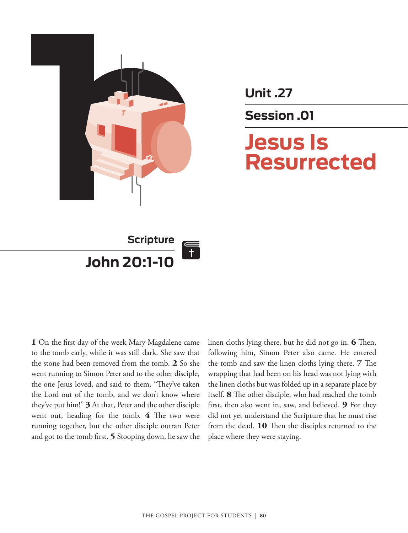

**Unit .27**

**Session .01**

# **Jesus Is Resurrected**



**1** On the first day of the week Mary Magdalene came to the tomb early, while it was still dark. She saw that the stone had been removed from the tomb. **2** So she went running to Simon Peter and to the other disciple, the one Jesus loved, and said to them, "They've taken the Lord out of the tomb, and we don't know where they've put him!" **3** At that, Peter and the other disciple went out, heading for the tomb. **4** The two were running together, but the other disciple outran Peter and got to the tomb first. **5** Stooping down, he saw the

linen cloths lying there, but he did not go in. **6** Then, following him, Simon Peter also came. He entered the tomb and saw the linen cloths lying there. **7** The wrapping that had been on his head was not lying with the linen cloths but was folded up in a separate place by itself. **8** The other disciple, who had reached the tomb first, then also went in, saw, and believed. **9** For they did not yet understand the Scripture that he must rise from the dead. **10** Then the disciples returned to the place where they were staying.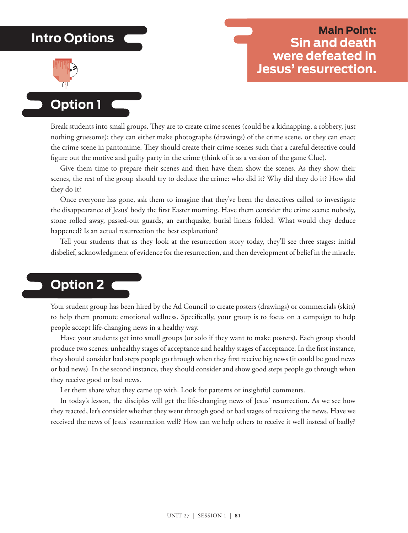# **Intro Options**



# **Main Point: Sin and death were defeated in Jesus' resurrection.**

**Option 1**

Break students into small groups. They are to create crime scenes (could be a kidnapping, a robbery, just nothing gruesome); they can either make photographs (drawings) of the crime scene, or they can enact the crime scene in pantomime. They should create their crime scenes such that a careful detective could figure out the motive and guilty party in the crime (think of it as a version of the game Clue).

Give them time to prepare their scenes and then have them show the scenes. As they show their scenes, the rest of the group should try to deduce the crime: who did it? Why did they do it? How did they do it?

Once everyone has gone, ask them to imagine that they've been the detectives called to investigate the disappearance of Jesus' body the first Easter morning. Have them consider the crime scene: nobody, stone rolled away, passed-out guards, an earthquake, burial linens folded. What would they deduce happened? Is an actual resurrection the best explanation?

Tell your students that as they look at the resurrection story today, they'll see three stages: initial disbelief, acknowledgment of evidence for the resurrection, and then development of belief in the miracle.

# **Option 2**

Your student group has been hired by the Ad Council to create posters (drawings) or commercials (skits) to help them promote emotional wellness. Specifically, your group is to focus on a campaign to help people accept life-changing news in a healthy way.

Have your students get into small groups (or solo if they want to make posters). Each group should produce two scenes: unhealthy stages of acceptance and healthy stages of acceptance. In the first instance, they should consider bad steps people go through when they first receive big news (it could be good news or bad news). In the second instance, they should consider and show good steps people go through when they receive good or bad news.

Let them share what they came up with. Look for patterns or insightful comments.

In today's lesson, the disciples will get the life-changing news of Jesus' resurrection. As we see how they reacted, let's consider whether they went through good or bad stages of receiving the news. Have we received the news of Jesus' resurrection well? How can we help others to receive it well instead of badly?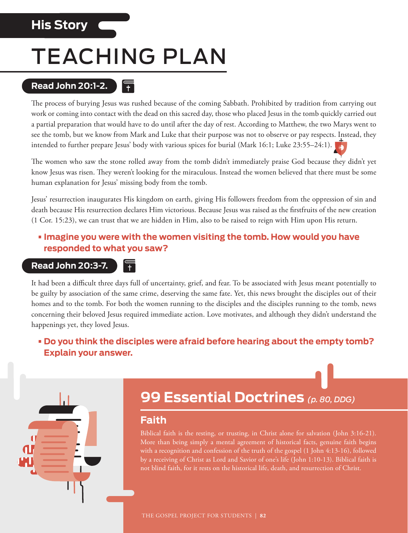# **His Story**

# TEACHING PLAN

E

### **Read John 20:1-2.**

The process of burying Jesus was rushed because of the coming Sabbath. Prohibited by tradition from carrying out work or coming into contact with the dead on this sacred day, those who placed Jesus in the tomb quickly carried out a partial preparation that would have to do until after the day of rest. According to Matthew, the two Marys went to see the tomb, but we know from Mark and Luke that their purpose was not to observe or pay respects. Instead, they intended to further prepare Jesus' body with various spices for burial (Mark 16:1; Luke 23:55–24:1).

The women who saw the stone rolled away from the tomb didn't immediately praise God because they didn't yet know Jesus was risen. They weren't looking for the miraculous. Instead the women believed that there must be some human explanation for Jesus' missing body from the tomb.

Jesus' resurrection inaugurates His kingdom on earth, giving His followers freedom from the oppression of sin and death because His resurrection declares Him victorious. Because Jesus was raised as the firstfruits of the new creation (1 Cor. 15:23), we can trust that we are hidden in Him, also to be raised to reign with Him upon His return.

#### **•Imagine you were with the women visiting the tomb. How would you have responded to what you saw?**

#### **Read John 20:3-7.**

It had been a difficult three days full of uncertainty, grief, and fear. To be associated with Jesus meant potentially to be guilty by association of the same crime, deserving the same fate. Yet, this news brought the disciples out of their homes and to the tomb. For both the women running to the disciples and the disciples running to the tomb, news concerning their beloved Jesus required immediate action. Love motivates, and although they didn't understand the happenings yet, they loved Jesus.

### **• Do you think the disciples were afraid before hearing about the empty tomb? Explain your answer.**



# **99 Essential Doctrines** *(p. 80, DDG)*

### **Faith**

Biblical faith is the resting, or trusting, in Christ alone for salvation (John 3:16-21). More than being simply a mental agreement of historical facts, genuine faith begins with a recognition and confession of the truth of the gospel (1 John 4:13-16), followed by a receiving of Christ as Lord and Savior of one's life (John 1:10-13). Biblical faith is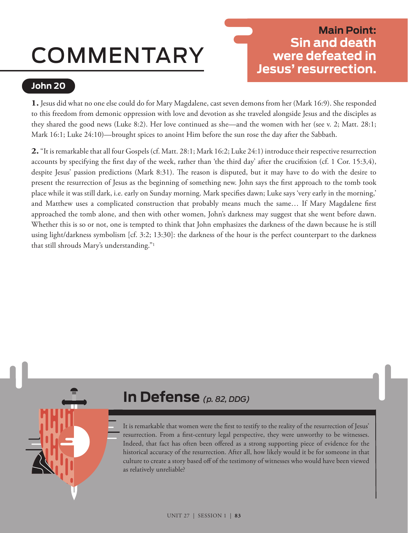# COMMENTARY

# **Main Point: Sin and death were defeated in Jesus' resurrection.**

## **John 20**

**1.** Jesus did what no one else could do for Mary Magdalene, cast seven demons from her (Mark 16:9). She responded to this freedom from demonic oppression with love and devotion as she traveled alongside Jesus and the disciples as they shared the good news (Luke 8:2). Her love continued as she—and the women with her (see v. 2; Matt. 28:1; Mark 16:1; Luke 24:10)—brought spices to anoint Him before the sun rose the day after the Sabbath.

**2.** "It is remarkable that all four Gospels (cf. Matt. 28:1; Mark 16:2; Luke 24:1) introduce their respective resurrection accounts by specifying the first day of the week, rather than 'the third day' after the crucifixion (cf. 1 Cor. 15:3,4), despite Jesus' passion predictions (Mark 8:31). The reason is disputed, but it may have to do with the desire to present the resurrection of Jesus as the beginning of something new. John says the first approach to the tomb took place while it was still dark, i.e. early on Sunday morning. Mark specifies dawn; Luke says 'very early in the morning,' and Matthew uses a complicated construction that probably means much the same… If Mary Magdalene first approached the tomb alone, and then with other women, John's darkness may suggest that she went before dawn. Whether this is so or not, one is tempted to think that John emphasizes the darkness of the dawn because he is still using light/darkness symbolism [cf. 3:2; 13:30]: the darkness of the hour is the perfect counterpart to the darkness that still shrouds Mary's understanding."1

# **In Defense** *(p. 82, DDG)*

It is remarkable that women were the first to testify to the reality of the resurrection of Jesus' resurrection. From a first-century legal perspective, they were unworthy to be witnesses. Indeed, that fact has often been offered as a strong supporting piece of evidence for the historical accuracy of the resurrection. After all, how likely would it be for someone in that culture to create a story based off of the testimony of witnesses who would have been viewed as relatively unreliable?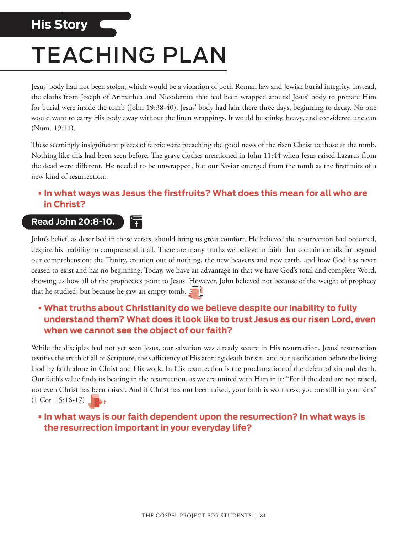# **His Story**

# TEACHING PLAN

Ħ

Jesus' body had not been stolen, which would be a violation of both Roman law and Jewish burial integrity. Instead, the cloths from Joseph of Arimathea and Nicodemus that had been wrapped around Jesus' body to prepare Him for burial were inside the tomb (John 19:38-40). Jesus' body had lain there three days, beginning to decay. No one would want to carry His body away without the linen wrappings. It would be stinky, heavy, and considered unclean (Num. 19:11).

These seemingly insignificant pieces of fabric were preaching the good news of the risen Christ to those at the tomb. Nothing like this had been seen before. The grave clothes mentioned in John 11:44 when Jesus raised Lazarus from the dead were different. He needed to be unwrapped, but our Savior emerged from the tomb as the firstfruits of a new kind of resurrection.

#### **•In what ways was Jesus the firstfruits? What does this mean for all who are in Christ?**

### **Read John 20:8-10.**

John's belief, as described in these verses, should bring us great comfort. He believed the resurrection had occurred, despite his inability to comprehend it all. There are many truths we believe in faith that contain details far beyond our comprehension: the Trinity, creation out of nothing, the new heavens and new earth, and how God has never ceased to exist and has no beginning. Today, we have an advantage in that we have God's total and complete Word, showing us how all of the prophecies point to Jesus. However, John believed not because of the weight of prophecy that he studied, but because he saw an empty tomb.

### **• What truths about Christianity do we believe despite our inability to fully understand them? What does it look like to trust Jesus as our risen Lord, even when we cannot see the object of our faith?**

While the disciples had not yet seen Jesus, our salvation was already secure in His resurrection. Jesus' resurrection testifies the truth of all of Scripture, the sufficiency of His atoning death for sin, and our justification before the living God by faith alone in Christ and His work. In His resurrection is the proclamation of the defeat of sin and death. Our faith's value finds its bearing in the resurrection, as we are united with Him in it: "For if the dead are not raised, not even Christ has been raised. And if Christ has not been raised, your faith is worthless; you are still in your sins"  $(1$  Cor. 15:16-17).

#### **•In what ways is our faith dependent upon the resurrection? In what ways is the resurrection important in your everyday life?**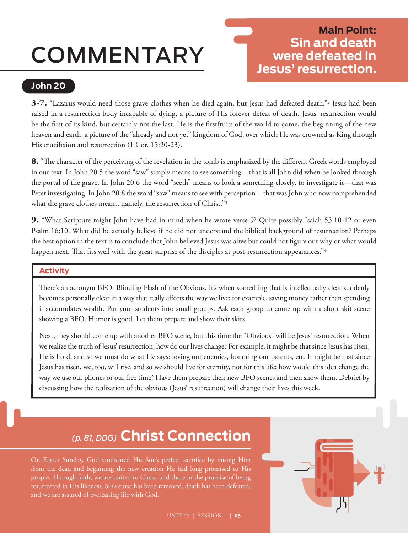# COMMENTARY

# **Main Point: Sin and death were defeated in Jesus' resurrection.**

### **John 20**

**3-7.** "Lazarus would need those grave clothes when he died again, but Jesus had defeated death."2 Jesus had been raised in a resurrection body incapable of dying, a picture of His forever defeat of death. Jesus' resurrection would be the first of its kind, but certainly not the last. He is the firstfruits of the world to come, the beginning of the new heaven and earth, a picture of the "already and not yet" kingdom of God, over which He was crowned as King through His crucifixion and resurrection (1 Cor. 15:20-23).

**8.** "The character of the perceiving of the revelation in the tomb is emphasized by the different Greek words employed in our text. In John 20:5 the word "saw" simply means to see something—that is all John did when he looked through the portal of the grave. In John 20:6 the word "seeth" means to look a something closely, to investigate it—that was Peter investigating. In John 20:8 the word "saw" means to see with perception—that was John who now comprehended what the grave clothes meant, namely, the resurrection of Christ."<sup>3</sup>

**9.** "What Scripture might John have had in mind when he wrote verse 9? Quite possibly Isaiah 53:10-12 or even Psalm 16:10. What did he actually believe if he did not understand the biblical background of resurrection? Perhaps the best option in the text is to conclude that John believed Jesus was alive but could not figure out why or what would happen next. That fits well with the great surprise of the disciples at post-resurrection appearances."<sup>4</sup>

#### **Activity**

There's an acronym BFO: Blinding Flash of the Obvious. It's when something that is intellectually clear suddenly becomes personally clear in a way that really affects the way we live; for example, saving money rather than spending it accumulates wealth. Put your students into small groups. Ask each group to come up with a short skit scene showing a BFO. Humor is good. Let them prepare and show their skits.

Next, they should come up with another BFO scene, but this time the "Obvious" will be Jesus' resurrection. When we realize the truth of Jesus' resurrection, how do our lives change? For example, it might be that since Jesus has risen, He is Lord, and so we must do what He says: loving our enemies, honoring our parents, etc. It might be that since Jesus has risen, we, too, will rise, and so we should live for eternity, not for this life; how would this idea change the way we use our phones or our free time? Have them prepare their new BFO scenes and then show them. Debrief by discussing how the realization of the obvious (Jesus' resurrection) will change their lives this week.

# *(p. 81, DDG)* **Christ Connection**

On Easter Sunday, God vindicated His Son's perfect sacrifice by raising Him from the dead and beginning the new creation He had long promised to His people. Through faith, we are united to Christ and share in the promise of being resurrected in His likeness. Sin's curse has been removed, death has been defeated, and we are assured of everlasting life with God.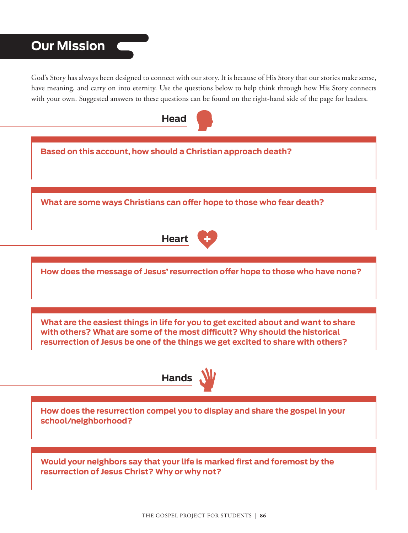# **Our Mission**

God's Story has always been designed to connect with our story. It is because of His Story that our stories make sense, have meaning, and carry on into eternity. Use the questions below to help think through how His Story connects with your own. Suggested answers to these questions can be found on the right-hand side of the page for leaders.